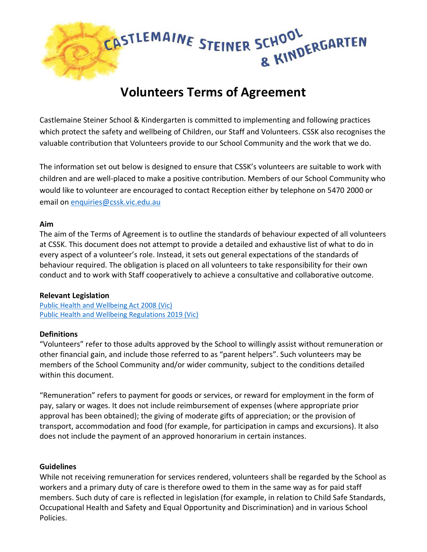

# **Volunteers Terms of Agreement**

Castlemaine Steiner School & Kindergarten is committed to implementing and following practices which protect the safety and wellbeing of Children, our Staff and Volunteers. CSSK also recognises the valuable contribution that Volunteers provide to our School Community and the work that we do.

The information set out below is designed to ensure that CSSK's volunteers are suitable to work with children and are well-placed to make a positive contribution. Members of our School Community who would like to volunteer are encouraged to contact Reception either by telephone on 5470 2000 or email on [enquiries@cssk.vic.edu.au](mailto:enquires@cssk.vic.edu.au)

#### **Aim**

The aim of the Terms of Agreement is to outline the standards of behaviour expected of all volunteers at CSSK. This document does not attempt to provide a detailed and exhaustive list of what to do in every aspect of a volunteer's role. Instead, it sets out general expectations of the standards of behaviour required. The obligation is placed on all volunteers to take responsibility for their own conduct and to work with Staff cooperatively to achieve a consultative and collaborative outcome.

#### **Relevant Legislation**

Public [Health and Wellbeing Act 2008 \(Vic\)](https://www.legislation.vic.gov.au/in-force/acts/public-health-and-wellbeing-act-2008) [Public Health and Wellbeing Regulations 2019 \(Vic\)](https://www.legislation.vic.gov.au/in-force/statutory-rules/public-health-and-wellbeing-regulations-2019)

#### **Definitions**

"Volunteers" refer to those adults approved by the School to willingly assist without remuneration or other financial gain, and include those referred to as "parent helpers". Such volunteers may be members of the School Community and/or wider community, subject to the conditions detailed within this document.

"Remuneration" refers to payment for goods or services, or reward for employment in the form of pay, salary or wages. It does not include reimbursement of expenses (where appropriate prior approval has been obtained); the giving of moderate gifts of appreciation; or the provision of transport, accommodation and food (for example, for participation in camps and excursions). It also does not include the payment of an approved honorarium in certain instances.

#### **Guidelines**

While not receiving remuneration for services rendered, volunteers shall be regarded by the School as workers and a primary duty of care is therefore owed to them in the same way as for paid staff members. Such duty of care is reflected in legislation (for example, in relation to Child Safe Standards, Occupational Health and Safety and Equal Opportunity and Discrimination) and in various School Policies.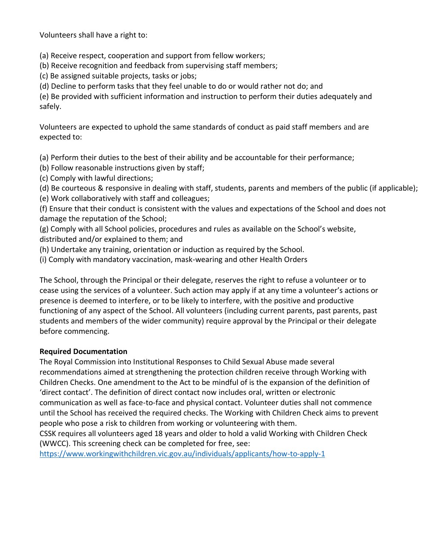Volunteers shall have a right to:

(a) Receive respect, cooperation and support from fellow workers;

(b) Receive recognition and feedback from supervising staff members;

(c) Be assigned suitable projects, tasks or jobs;

(d) Decline to perform tasks that they feel unable to do or would rather not do; and

(e) Be provided with sufficient information and instruction to perform their duties adequately and safely.

Volunteers are expected to uphold the same standards of conduct as paid staff members and are expected to:

(a) Perform their duties to the best of their ability and be accountable for their performance;

- (b) Follow reasonable instructions given by staff;
- (c) Comply with lawful directions;

(d) Be courteous & responsive in dealing with staff, students, parents and members of the public (if applicable);

(e) Work collaboratively with staff and colleagues;

(f) Ensure that their conduct is consistent with the values and expectations of the School and does not damage the reputation of the School;

(g) Comply with all School policies, procedures and rules as available on the School's website, distributed and/or explained to them; and

(h) Undertake any training, orientation or induction as required by the School.

(i) Comply with mandatory vaccination, mask-wearing and other Health Orders

The School, through the Principal or their delegate, reserves the right to refuse a volunteer or to cease using the services of a volunteer. Such action may apply if at any time a volunteer's actions or presence is deemed to interfere, or to be likely to interfere, with the positive and productive functioning of any aspect of the School. All volunteers (including current parents, past parents, past students and members of the wider community) require approval by the Principal or their delegate before commencing.

## **Required Documentation**

The Royal Commission into Institutional Responses to Child Sexual Abuse made several recommendations aimed at strengthening the protection children receive through Working with Children Checks. One amendment to the Act to be mindful of is the expansion of the definition of 'direct contact'. The definition of direct contact now includes oral, written or electronic communication as well as face-to-face and physical contact. Volunteer duties shall not commence until the School has received the required checks. The Working with Children Check aims to prevent people who pose a risk to children from working or volunteering with them.

CSSK requires all volunteers aged 18 years and older to hold a valid Working with Children Check (WWCC). This screening check can be completed for free, see:

<https://www.workingwithchildren.vic.gov.au/individuals/applicants/how-to-apply-1>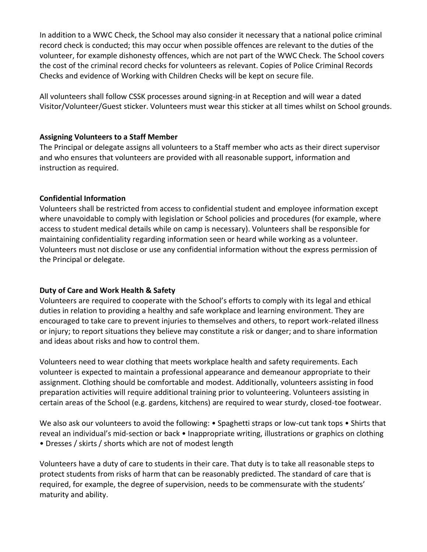In addition to a WWC Check, the School may also consider it necessary that a national police criminal record check is conducted; this may occur when possible offences are relevant to the duties of the volunteer, for example dishonesty offences, which are not part of the WWC Check. The School covers the cost of the criminal record checks for volunteers as relevant. Copies of Police Criminal Records Checks and evidence of Working with Children Checks will be kept on secure file.

All volunteers shall follow CSSK processes around signing-in at Reception and will wear a dated Visitor/Volunteer/Guest sticker. Volunteers must wear this sticker at all times whilst on School grounds.

#### **Assigning Volunteers to a Staff Member**

The Principal or delegate assigns all volunteers to a Staff member who acts as their direct supervisor and who ensures that volunteers are provided with all reasonable support, information and instruction as required.

## **Confidential Information**

Volunteers shall be restricted from access to confidential student and employee information except where unavoidable to comply with legislation or School policies and procedures (for example, where access to student medical details while on camp is necessary). Volunteers shall be responsible for maintaining confidentiality regarding information seen or heard while working as a volunteer. Volunteers must not disclose or use any confidential information without the express permission of the Principal or delegate.

## **Duty of Care and Work Health & Safety**

Volunteers are required to cooperate with the School's efforts to comply with its legal and ethical duties in relation to providing a healthy and safe workplace and learning environment. They are encouraged to take care to prevent injuries to themselves and others, to report work-related illness or injury; to report situations they believe may constitute a risk or danger; and to share information and ideas about risks and how to control them.

Volunteers need to wear clothing that meets workplace health and safety requirements. Each volunteer is expected to maintain a professional appearance and demeanour appropriate to their assignment. Clothing should be comfortable and modest. Additionally, volunteers assisting in food preparation activities will require additional training prior to volunteering. Volunteers assisting in certain areas of the School (e.g. gardens, kitchens) are required to wear sturdy, closed-toe footwear.

We also ask our volunteers to avoid the following: • Spaghetti straps or low-cut tank tops • Shirts that reveal an individual's mid-section or back • Inappropriate writing, illustrations or graphics on clothing • Dresses / skirts / shorts which are not of modest length

Volunteers have a duty of care to students in their care. That duty is to take all reasonable steps to protect students from risks of harm that can be reasonably predicted. The standard of care that is required, for example, the degree of supervision, needs to be commensurate with the students' maturity and ability.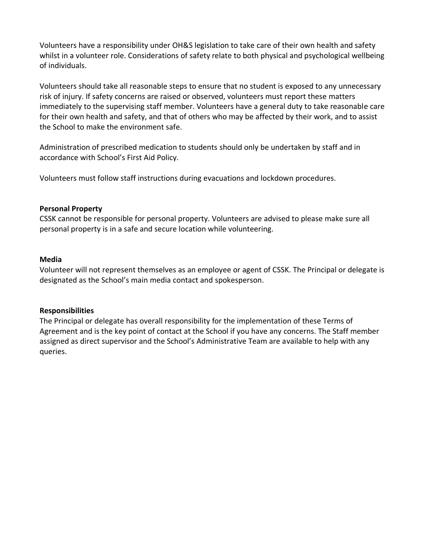Volunteers have a responsibility under OH&S legislation to take care of their own health and safety whilst in a volunteer role. Considerations of safety relate to both physical and psychological wellbeing of individuals.

Volunteers should take all reasonable steps to ensure that no student is exposed to any unnecessary risk of injury. If safety concerns are raised or observed, volunteers must report these matters immediately to the supervising staff member. Volunteers have a general duty to take reasonable care for their own health and safety, and that of others who may be affected by their work, and to assist the School to make the environment safe.

Administration of prescribed medication to students should only be undertaken by staff and in accordance with School's First Aid Policy.

Volunteers must follow staff instructions during evacuations and lockdown procedures.

#### **Personal Property**

CSSK cannot be responsible for personal property. Volunteers are advised to please make sure all personal property is in a safe and secure location while volunteering.

#### **Media**

Volunteer will not represent themselves as an employee or agent of CSSK. The Principal or delegate is designated as the School's main media contact and spokesperson.

## **Responsibilities**

The Principal or delegate has overall responsibility for the implementation of these Terms of Agreement and is the key point of contact at the School if you have any concerns. The Staff member assigned as direct supervisor and the School's Administrative Team are available to help with any queries.